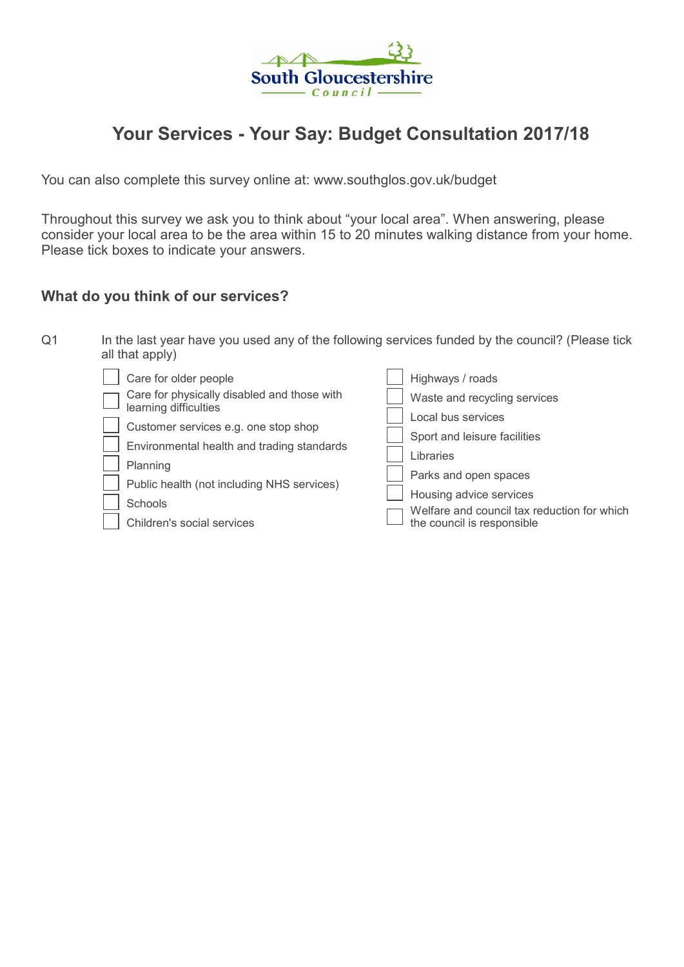

# Your Services - Your Say: Budget Consultation 2017/18

You can also complete this survey online at: www.southglos.gov.uk/budget

Throughout this survey we ask you to think about "your local area". When answering, please consider your local area to be the area within 15 to 20 minutes walking distance from your home. Please tick boxes to indicate your answers.

## What do you think of our services?

| Q <sub>1</sub> | In the last year have you used any of the following services funded by the council? (Please tick<br>all that apply)                                                                                                                                                                    |                                                                                                                                                                                                                                                      |  |  |  |  |
|----------------|----------------------------------------------------------------------------------------------------------------------------------------------------------------------------------------------------------------------------------------------------------------------------------------|------------------------------------------------------------------------------------------------------------------------------------------------------------------------------------------------------------------------------------------------------|--|--|--|--|
|                | Care for older people<br>Care for physically disabled and those with<br>learning difficulties<br>Customer services e.g. one stop shop<br>Environmental health and trading standards<br>Planning<br>Public health (not including NHS services)<br>Schools<br>Children's social services | Highways / roads<br>Waste and recycling services<br>Local bus services<br>Sport and leisure facilities<br>Libraries<br>Parks and open spaces<br>Housing advice services<br>Welfare and council tax reduction for which<br>the council is responsible |  |  |  |  |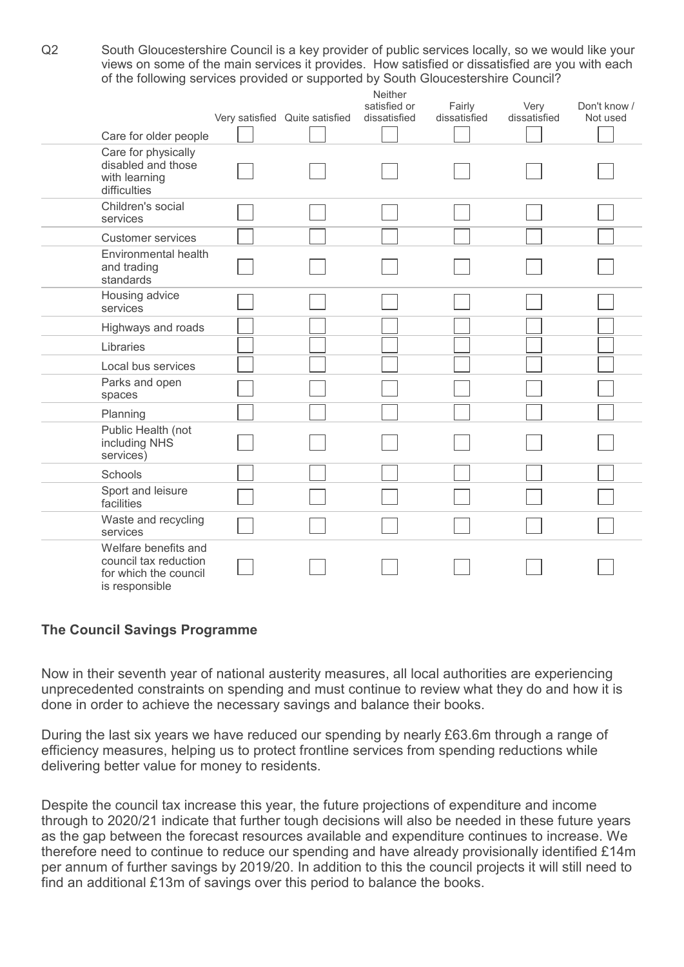Q2 South Gloucestershire Council is a key provider of public services locally, so we would like your views on some of the main services it provides. How satisfied or dissatisfied are you with each of the following services provided or supported by South Gloucestershire Council?

|                                                                                          |                                | Neither<br>satisfied or | Fairly       | Very         | Don't know / |
|------------------------------------------------------------------------------------------|--------------------------------|-------------------------|--------------|--------------|--------------|
|                                                                                          | Very satisfied Quite satisfied | dissatisfied            | dissatisfied | dissatisfied | Not used     |
| Care for older people                                                                    |                                |                         |              |              |              |
| Care for physically<br>disabled and those<br>with learning<br>difficulties               |                                |                         |              |              |              |
| Children's social<br>services                                                            |                                |                         |              |              |              |
| <b>Customer services</b>                                                                 |                                |                         |              |              |              |
| Environmental health<br>and trading<br>standards                                         |                                |                         |              |              |              |
| Housing advice<br>services                                                               |                                |                         |              |              |              |
| Highways and roads                                                                       |                                |                         |              |              |              |
| Libraries                                                                                |                                |                         |              |              |              |
| Local bus services                                                                       |                                |                         |              |              |              |
| Parks and open<br>spaces                                                                 |                                |                         |              |              |              |
| Planning                                                                                 |                                |                         |              |              |              |
| Public Health (not<br>including NHS<br>services)                                         |                                |                         |              |              |              |
| Schools                                                                                  |                                |                         |              |              |              |
| Sport and leisure<br>facilities                                                          |                                |                         |              |              |              |
| Waste and recycling<br>services                                                          |                                |                         |              |              |              |
| Welfare benefits and<br>council tax reduction<br>for which the council<br>is responsible |                                |                         |              |              |              |

#### The Council Savings Programme

Now in their seventh year of national austerity measures, all local authorities are experiencing unprecedented constraints on spending and must continue to review what they do and how it is done in order to achieve the necessary savings and balance their books.

During the last six years we have reduced our spending by nearly £63.6m through a range of efficiency measures, helping us to protect frontline services from spending reductions while delivering better value for money to residents.

Despite the council tax increase this year, the future projections of expenditure and income through to 2020/21 indicate that further tough decisions will also be needed in these future years as the gap between the forecast resources available and expenditure continues to increase. We therefore need to continue to reduce our spending and have already provisionally identified £14m per annum of further savings by 2019/20. In addition to this the council projects it will still need to find an additional £13m of savings over this period to balance the books.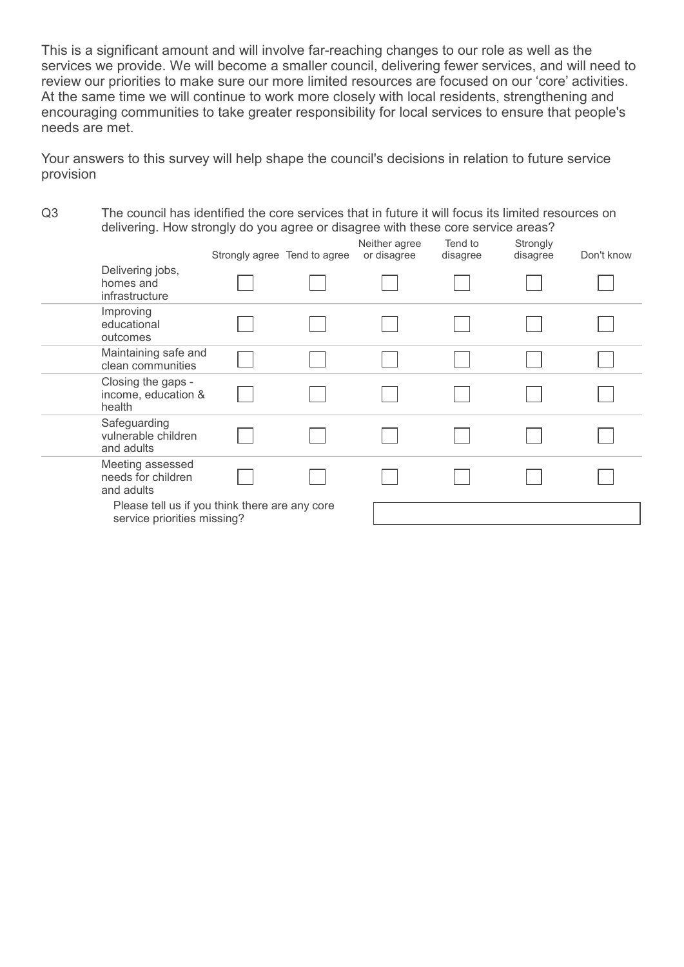This is a significant amount and will involve far-reaching changes to our role as well as the services we provide. We will become a smaller council, delivering fewer services, and will need to review our priorities to make sure our more limited resources are focused on our 'core' activities. At the same time we will continue to work more closely with local residents, strengthening and encouraging communities to take greater responsibility for local services to ensure that people's needs are met.

Your answers to this survey will help shape the council's decisions in relation to future service provision

Q3 The council has identified the core services that in future it will focus its limited resources on delivering. How strongly do you agree or disagree with these core service areas?

|                                                                               | Strongly agree Tend to agree | Neither agree<br>or disagree | Tend to<br>disagree | Strongly<br>disagree | Don't know |
|-------------------------------------------------------------------------------|------------------------------|------------------------------|---------------------|----------------------|------------|
| Delivering jobs,<br>homes and<br>infrastructure                               |                              |                              |                     |                      |            |
| Improving<br>educational<br>outcomes                                          |                              |                              |                     |                      |            |
| Maintaining safe and<br>clean communities                                     |                              |                              |                     |                      |            |
| Closing the gaps -<br>income, education &<br>health                           |                              |                              |                     |                      |            |
| Safeguarding<br>vulnerable children<br>and adults                             |                              |                              |                     |                      |            |
| Meeting assessed<br>needs for children<br>and adults                          |                              |                              |                     |                      |            |
| Please tell us if you think there are any core<br>service priorities missing? |                              |                              |                     |                      |            |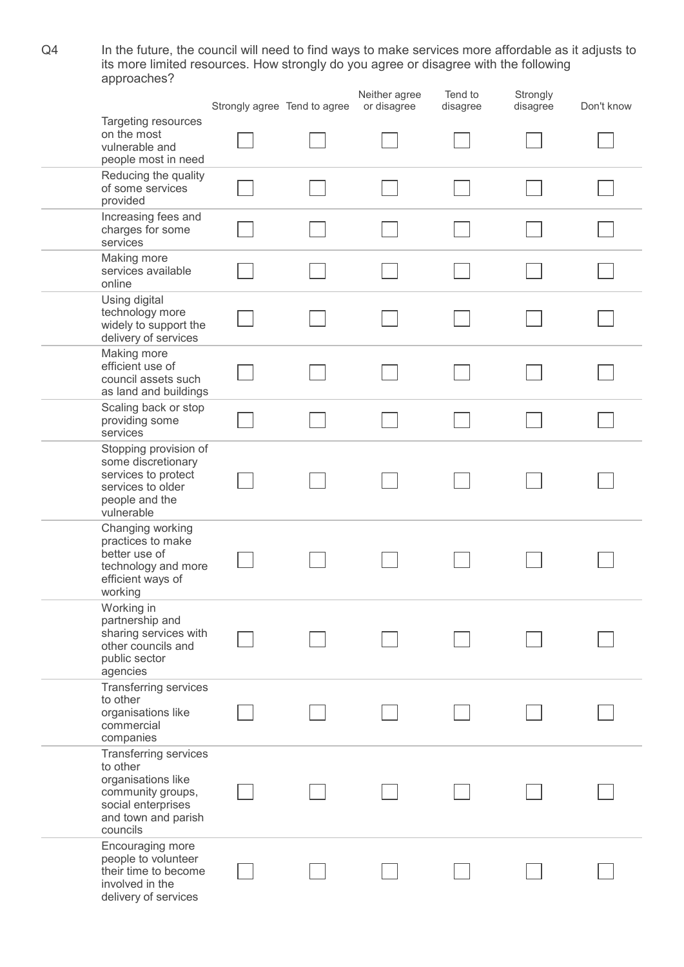Q4 In the future, the council will need to find ways to make services more affordable as it adjusts to its more limited resources. How strongly do you agree or disagree with the following approaches?

|                                                                                                                                              | Strongly agree Tend to agree | Neither agree<br>or disagree | Tend to<br>disagree | Strongly<br>disagree | Don't know |
|----------------------------------------------------------------------------------------------------------------------------------------------|------------------------------|------------------------------|---------------------|----------------------|------------|
| Targeting resources<br>on the most<br>vulnerable and<br>people most in need                                                                  |                              |                              |                     |                      |            |
| Reducing the quality<br>of some services<br>provided                                                                                         |                              |                              |                     |                      |            |
| Increasing fees and<br>charges for some<br>services                                                                                          |                              |                              |                     |                      |            |
| Making more<br>services available<br>online                                                                                                  |                              |                              |                     |                      |            |
| Using digital<br>technology more<br>widely to support the<br>delivery of services                                                            |                              |                              |                     |                      |            |
| Making more<br>efficient use of<br>council assets such<br>as land and buildings                                                              |                              |                              |                     |                      |            |
| Scaling back or stop<br>providing some<br>services                                                                                           |                              |                              |                     |                      |            |
| Stopping provision of<br>some discretionary<br>services to protect<br>services to older<br>people and the<br>vulnerable                      |                              |                              |                     |                      |            |
| Changing working<br>practices to make<br>better use of<br>technology and more<br>efficient ways of<br>working                                |                              |                              |                     |                      |            |
| Working in<br>partnership and<br>sharing services with<br>other councils and<br>public sector<br>agencies                                    |                              |                              |                     |                      |            |
| Transferring services<br>to other<br>organisations like<br>commercial<br>companies                                                           |                              |                              |                     |                      |            |
| <b>Transferring services</b><br>to other<br>organisations like<br>community groups,<br>social enterprises<br>and town and parish<br>councils |                              |                              |                     |                      |            |
| Encouraging more<br>people to volunteer<br>their time to become<br>involved in the<br>delivery of services                                   |                              |                              |                     |                      |            |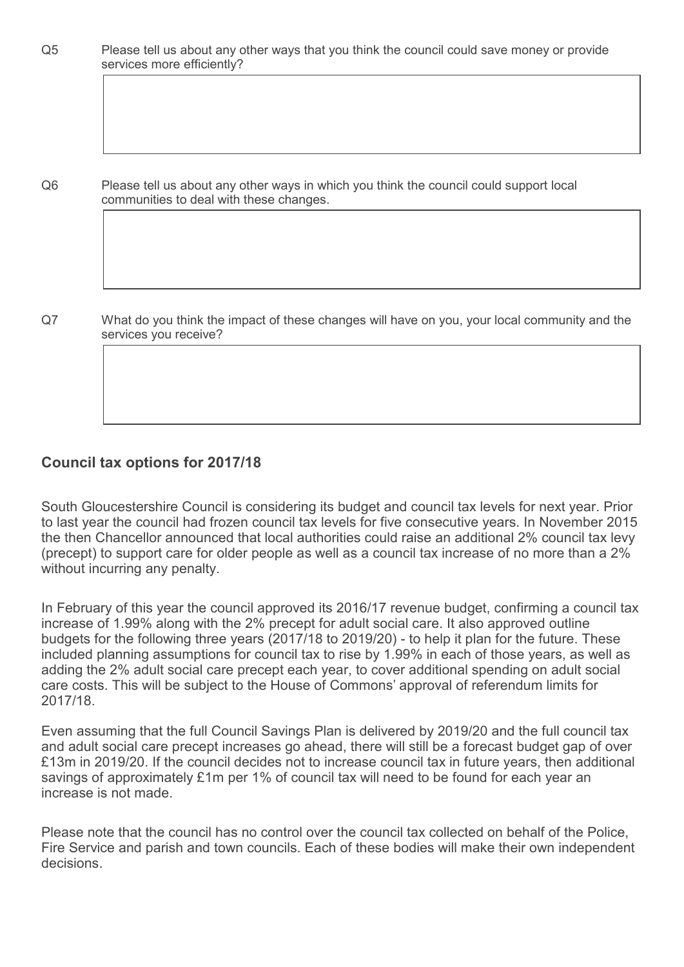Q5 Please tell us about any other ways that you think the council could save money or provide services more efficiently?

Q6 Please tell us about any other ways in which you think the council could support local communities to deal with these changes.

Q7 What do you think the impact of these changes will have on you, your local community and the services you receive?

## Council tax options for 2017/18

South Gloucestershire Council is considering its budget and council tax levels for next year. Prior to last year the council had frozen council tax levels for five consecutive years. In November 2015 the then Chancellor announced that local authorities could raise an additional 2% council tax levy (precept) to support care for older people as well as a council tax increase of no more than a 2% without incurring any penalty.

In February of this year the council approved its 2016/17 revenue budget, confirming a council tax increase of 1.99% along with the 2% precept for adult social care. It also approved outline budgets for the following three years (2017/18 to 2019/20) - to help it plan for the future. These included planning assumptions for council tax to rise by 1.99% in each of those years, as well as adding the 2% adult social care precept each year, to cover additional spending on adult social care costs. This will be subject to the House of Commons' approval of referendum limits for 2017/18.

Even assuming that the full Council Savings Plan is delivered by 2019/20 and the full council tax and adult social care precept increases go ahead, there will still be a forecast budget gap of over £13m in 2019/20. If the council decides not to increase council tax in future years, then additional savings of approximately £1m per 1% of council tax will need to be found for each year an increase is not made.

Please note that the council has no control over the council tax collected on behalf of the Police, Fire Service and parish and town councils. Each of these bodies will make their own independent decisions.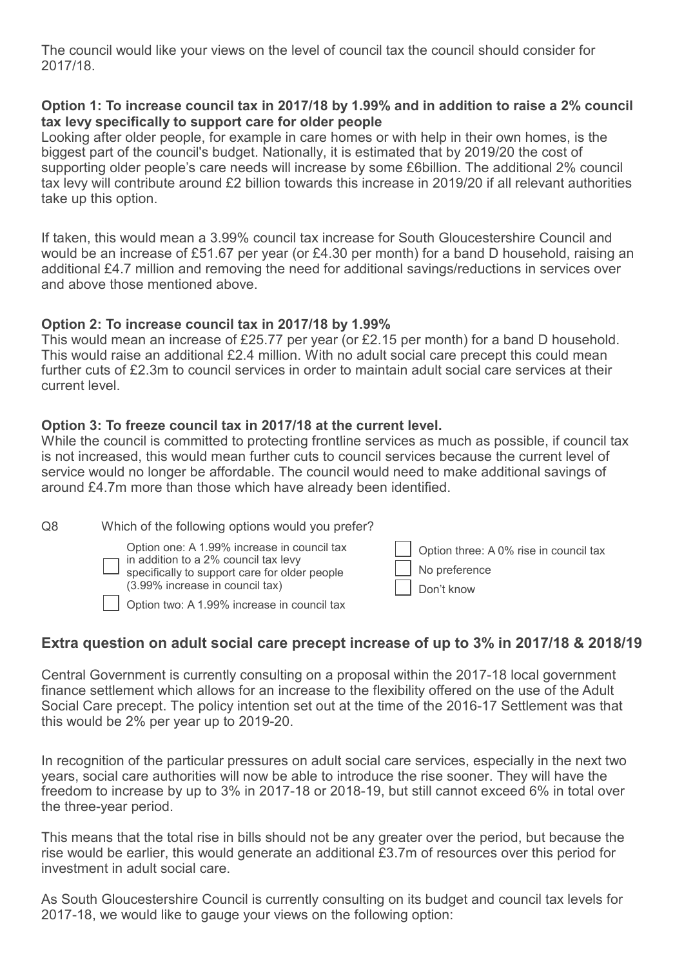The council would like your views on the level of council tax the council should consider for 2017/18.

### Option 1: To increase council tax in 2017/18 by 1.99% and in addition to raise a 2% council tax levy specifically to support care for older people

Looking after older people, for example in care homes or with help in their own homes, is the biggest part of the council's budget. Nationally, it is estimated that by 2019/20 the cost of supporting older people's care needs will increase by some £6billion. The additional 2% council tax levy will contribute around £2 billion towards this increase in 2019/20 if all relevant authorities take up this option.

If taken, this would mean a 3.99% council tax increase for South Gloucestershire Council and would be an increase of £51.67 per year (or £4.30 per month) for a band D household, raising an additional £4.7 million and removing the need for additional savings/reductions in services over and above those mentioned above.

#### Option 2: To increase council tax in 2017/18 by 1.99%

This would mean an increase of £25.77 per year (or £2.15 per month) for a band D household. This would raise an additional £2.4 million. With no adult social care precept this could mean further cuts of £2.3m to council services in order to maintain adult social care services at their current level.

### Option 3: To freeze council tax in 2017/18 at the current level.

While the council is committed to protecting frontline services as much as possible, if council tax is not increased, this would mean further cuts to council services because the current level of service would no longer be affordable. The council would need to make additional savings of around £4.7m more than those which have already been identified.

| Q8 | Which of the following options would you prefer?                                                                                                                                                                       |                                                                       |
|----|------------------------------------------------------------------------------------------------------------------------------------------------------------------------------------------------------------------------|-----------------------------------------------------------------------|
|    | Option one: A 1.99% increase in council tax<br>in addition to a 2% council tax levy<br>specifically to support care for older people<br>(3.99% increase in council tax)<br>Option two: A 1.99% increase in council tax | Option three: A 0% rise in council tax<br>No preference<br>Don't know |

# Extra question on adult social care precept increase of up to 3% in 2017/18 & 2018/19

Central Government is currently consulting on a proposal within the 2017-18 local government finance settlement which allows for an increase to the flexibility offered on the use of the Adult Social Care precept. The policy intention set out at the time of the 2016-17 Settlement was that this would be 2% per year up to 2019-20.

In recognition of the particular pressures on adult social care services, especially in the next two years, social care authorities will now be able to introduce the rise sooner. They will have the freedom to increase by up to 3% in 2017-18 or 2018-19, but still cannot exceed 6% in total over the three-year period.

This means that the total rise in bills should not be any greater over the period, but because the rise would be earlier, this would generate an additional £3.7m of resources over this period for investment in adult social care.

As South Gloucestershire Council is currently consulting on its budget and council tax levels for 2017-18, we would like to gauge your views on the following option: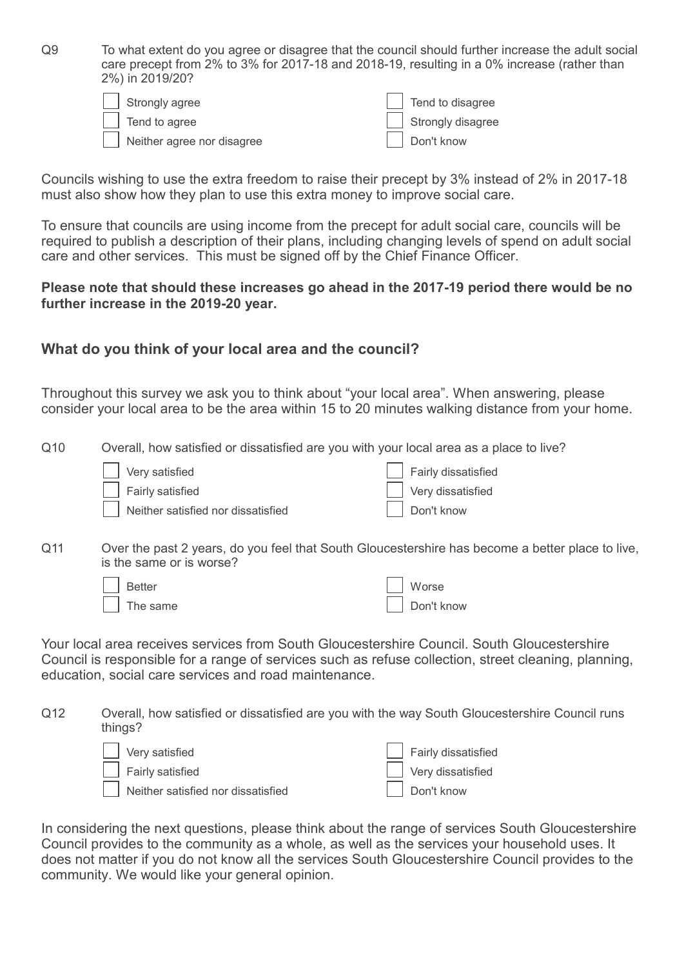Q9 To what extent do you agree or disagree that the council should further increase the adult social care precept from 2% to 3% for 2017-18 and 2018-19, resulting in a 0% increase (rather than 2%) in 2019/20?

| Strongly agree             | $\vert$ Tend to disagree  |
|----------------------------|---------------------------|
| Tend to agree              | $\vert$ Strongly disagree |
| Neither agree nor disagree | Don't know                |

Councils wishing to use the extra freedom to raise their precept by 3% instead of 2% in 2017-18 must also show how they plan to use this extra money to improve social care.

To ensure that councils are using income from the precept for adult social care, councils will be required to publish a description of their plans, including changing levels of spend on adult social care and other services. This must be signed off by the Chief Finance Officer.

#### Please note that should these increases go ahead in the 2017-19 period there would be no further increase in the 2019-20 year.

### What do you think of your local area and the council?

Throughout this survey we ask you to think about "your local area". When answering, please consider your local area to be the area within 15 to 20 minutes walking distance from your home.

Q10 Overall, how satisfied or dissatisfied are you with your local area as a place to live?

| Very satisfied                     | Fairly dissatisfied |
|------------------------------------|---------------------|
| Fairly satisfied                   | Very dissatisfied   |
| Neither satisfied nor dissatisfied | Don't know          |

Q11 Over the past 2 years, do you feel that South Gloucestershire has become a better place to live, is the same or is worse?

| Better   | $\vert$ Worse |
|----------|---------------|
| The same | Don't know    |

Your local area receives services from South Gloucestershire Council. South Gloucestershire Council is responsible for a range of services such as refuse collection, street cleaning, planning, education, social care services and road maintenance.

Q12 Overall, how satisfied or dissatisfied are you with the way South Gloucestershire Council runs things?

| Very satisfied                     | Fairly dissatisfied |
|------------------------------------|---------------------|
| Fairly satisfied                   | Very dissatisfied   |
| Neither satisfied nor dissatisfied | Don't know          |

In considering the next questions, please think about the range of services South Gloucestershire Council provides to the community as a whole, as well as the services your household uses. It does not matter if you do not know all the services South Gloucestershire Council provides to the community. We would like your general opinion.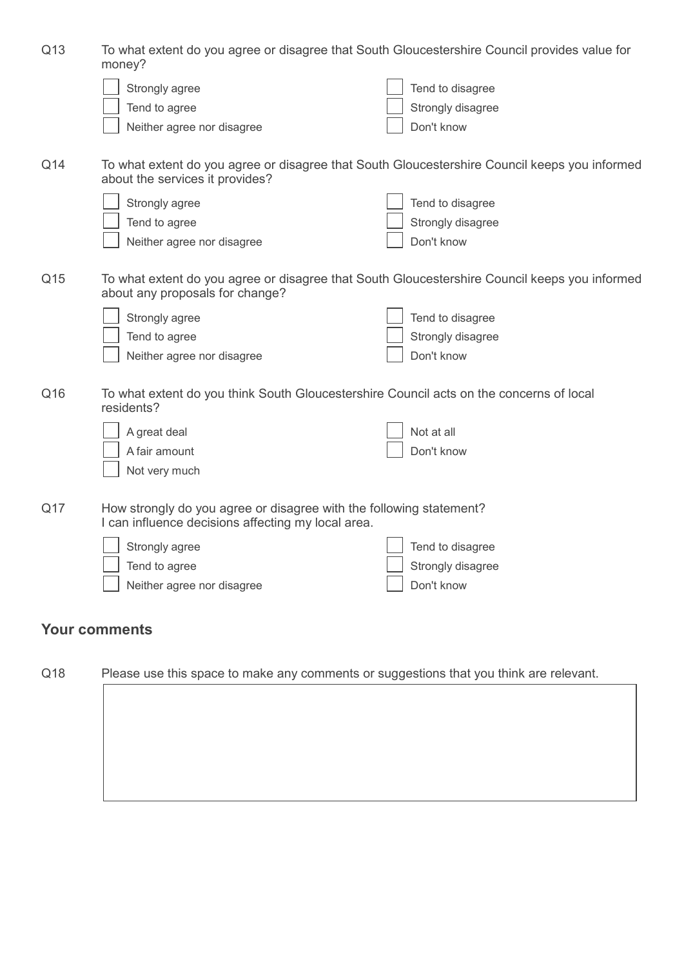| Q13 | To what extent do you agree or disagree that South Gloucestershire Council provides value for<br>money?                   |                                                                                               |  |
|-----|---------------------------------------------------------------------------------------------------------------------------|-----------------------------------------------------------------------------------------------|--|
|     | Strongly agree                                                                                                            | Tend to disagree                                                                              |  |
|     | Tend to agree                                                                                                             | Strongly disagree                                                                             |  |
|     | Neither agree nor disagree                                                                                                | Don't know                                                                                    |  |
|     |                                                                                                                           |                                                                                               |  |
| Q14 | about the services it provides?                                                                                           | To what extent do you agree or disagree that South Gloucestershire Council keeps you informed |  |
|     | Strongly agree                                                                                                            | Tend to disagree                                                                              |  |
|     | Tend to agree                                                                                                             | Strongly disagree                                                                             |  |
|     | Neither agree nor disagree                                                                                                | Don't know                                                                                    |  |
| Q15 | about any proposals for change?                                                                                           | To what extent do you agree or disagree that South Gloucestershire Council keeps you informed |  |
|     | Strongly agree                                                                                                            | Tend to disagree                                                                              |  |
|     | Tend to agree                                                                                                             | Strongly disagree                                                                             |  |
|     | Neither agree nor disagree                                                                                                | Don't know                                                                                    |  |
| Q16 | residents?                                                                                                                | To what extent do you think South Gloucestershire Council acts on the concerns of local       |  |
|     | A great deal                                                                                                              | Not at all                                                                                    |  |
|     | A fair amount                                                                                                             | Don't know                                                                                    |  |
|     | Not very much                                                                                                             |                                                                                               |  |
| Q17 | How strongly do you agree or disagree with the following statement?<br>I can influence decisions affecting my local area. |                                                                                               |  |
|     | Strongly agree                                                                                                            | Tend to disagree                                                                              |  |
|     | Tend to agree                                                                                                             | Strongly disagree                                                                             |  |
|     | Neither agree nor disagree                                                                                                | Don't know                                                                                    |  |
|     | <b>Your comments</b>                                                                                                      |                                                                                               |  |
| Q18 |                                                                                                                           | Please use this space to make any comments or suggestions that you think are relevant.        |  |
|     |                                                                                                                           |                                                                                               |  |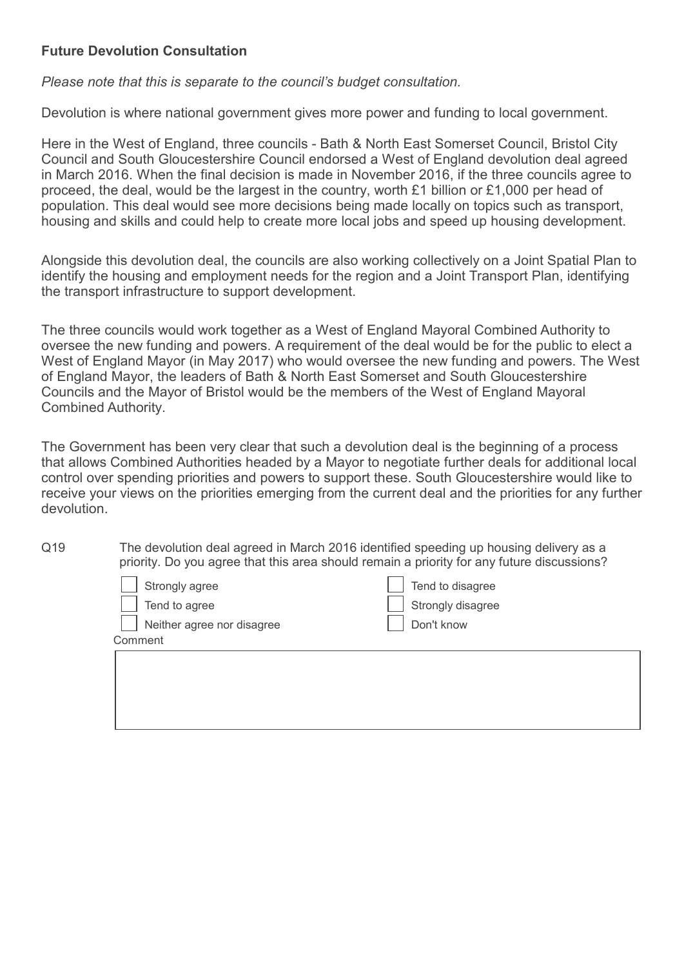### Future Devolution Consultation

*Please note that this is separate to the council's budget consultation.*

Devolution is where national government gives more power and funding to local government.

Here in the West of England, three councils - Bath & North East Somerset Council, Bristol City Council and South Gloucestershire Council endorsed a West of England devolution deal agreed in March 2016. When the final decision is made in November 2016, if the three councils agree to proceed, the deal, would be the largest in the country, worth £1 billion or £1,000 per head of population. This deal would see more decisions being made locally on topics such as transport, housing and skills and could help to create more local jobs and speed up housing development.

Alongside this devolution deal, the councils are also working collectively on a Joint Spatial Plan to identify the housing and employment needs for the region and a Joint Transport Plan, identifying the transport infrastructure to support development.

The three councils would work together as a West of England Mayoral Combined Authority to oversee the new funding and powers. A requirement of the deal would be for the public to elect a West of England Mayor (in May 2017) who would oversee the new funding and powers. The West of England Mayor, the leaders of Bath & North East Somerset and South Gloucestershire Councils and the Mayor of Bristol would be the members of the West of England Mayoral Combined Authority.

The Government has been very clear that such a devolution deal is the beginning of a process that allows Combined Authorities headed by a Mayor to negotiate further deals for additional local control over spending priorities and powers to support these. South Gloucestershire would like to receive your views on the priorities emerging from the current deal and the priorities for any further devolution.

Q19 The devolution deal agreed in March 2016 identified speeding up housing delivery as a priority. Do you agree that this area should remain a priority for any future discussions?

| $\vert$ Strongly agree             | $\vert$ Tend to disagree |
|------------------------------------|--------------------------|
| $\sqrt{\phantom{a}}$ Tend to agree | Strongly disagree        |
| Neither agree nor disagree         | Don't know               |
| Comment                            |                          |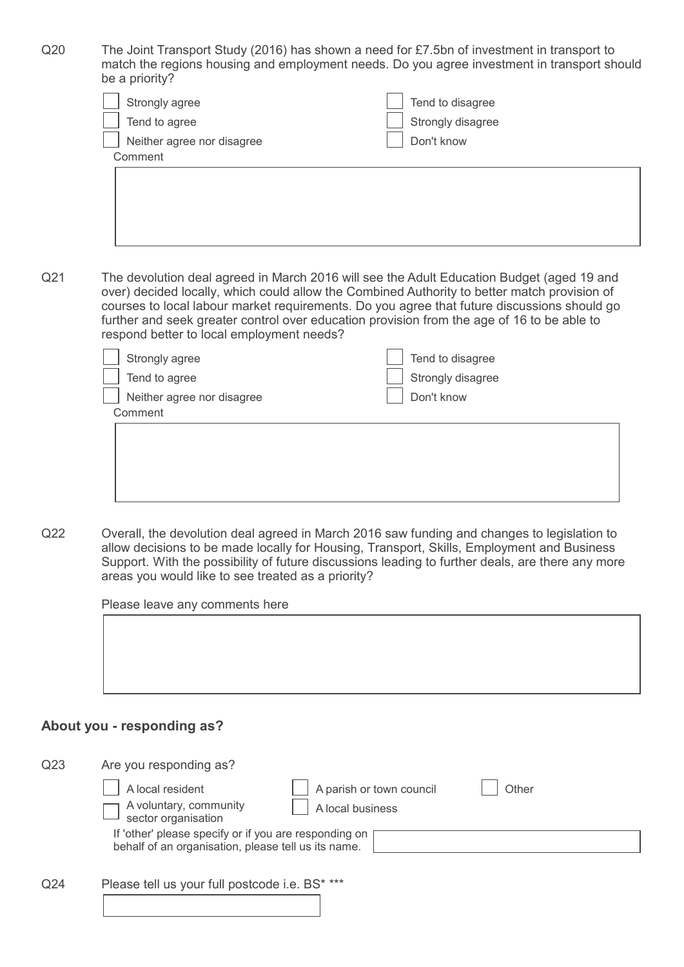Q20 The Joint Transport Study (2016) has shown a need for £7.5bn of investment in transport to match the regions housing and employment needs. Do you agree investment in transport should be a priority?

| Strongly agree             | $\vert$ Tend to disagree  |
|----------------------------|---------------------------|
| Tend to agree              | $\vert$ Strongly disagree |
| Neither agree nor disagree | Don't know                |
| Comment                    |                           |

Q21 The devolution deal agreed in March 2016 will see the Adult Education Budget (aged 19 and over) decided locally, which could allow the Combined Authority to better match provision of courses to local labour market requirements. Do you agree that future discussions should go further and seek greater control over education provision from the age of 16 to be able to respond better to local employment needs?

| Strongly agree             | Tend to disagree  |
|----------------------------|-------------------|
| Tend to agree              | Strongly disagree |
| Neither agree nor disagree | Don't know        |
| Comment                    |                   |
|                            |                   |
|                            |                   |
|                            |                   |
|                            |                   |
|                            |                   |

Q22 Overall, the devolution deal agreed in March 2016 saw funding and changes to legislation to allow decisions to be made locally for Housing, Transport, Skills, Employment and Business Support. With the possibility of future discussions leading to further deals, are there any more areas you would like to see treated as a priority?

Please leave any comments here



### About you - responding as?

| Q <sub>23</sub> | Are you responding as?                                                                                       |                                              |       |  |
|-----------------|--------------------------------------------------------------------------------------------------------------|----------------------------------------------|-------|--|
|                 | A local resident<br>A voluntary, community<br>sector organisation                                            | A parish or town council<br>A local business | Other |  |
|                 | If 'other' please specify or if you are responding on<br>behalf of an organisation, please tell us its name. |                                              |       |  |
| Q <sub>24</sub> | Please tell us your full postcode i.e. BS* ***                                                               |                                              |       |  |